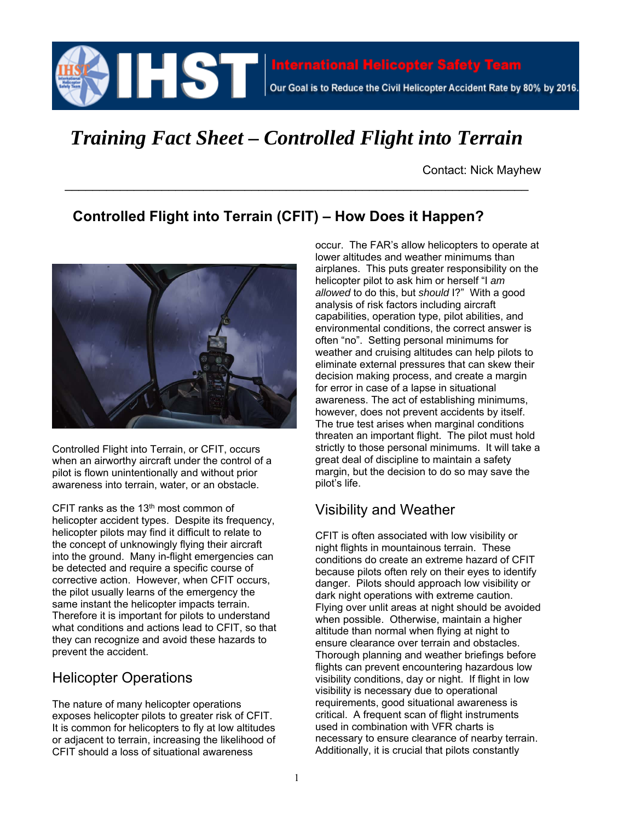

# *Training Fact Sheet – Controlled Flight into Terrain*

 $\overline{\phantom{a}}$  , and the contribution of the contribution of the contribution of the contribution of the contribution of the contribution of the contribution of the contribution of the contribution of the contribution of the

Contact: Nick Mayhew

# **Controlled Flight into Terrain (CFIT) – How Does it Happen?**



Controlled Flight into Terrain, or CFIT, occurs when an airworthy aircraft under the control of a pilot is flown unintentionally and without prior awareness into terrain, water, or an obstacle.

CFIT ranks as the  $13<sup>th</sup>$  most common of helicopter accident types. Despite its frequency, helicopter pilots may find it difficult to relate to the concept of unknowingly flying their aircraft into the ground. Many in-flight emergencies can be detected and require a specific course of corrective action. However, when CFIT occurs, the pilot usually learns of the emergency the same instant the helicopter impacts terrain. Therefore it is important for pilots to understand what conditions and actions lead to CFIT, so that they can recognize and avoid these hazards to prevent the accident.

#### Helicopter Operations

The nature of many helicopter operations exposes helicopter pilots to greater risk of CFIT. It is common for helicopters to fly at low altitudes or adjacent to terrain, increasing the likelihood of CFIT should a loss of situational awareness

occur. The FAR's allow helicopters to operate at lower altitudes and weather minimums than airplanes. This puts greater responsibility on the helicopter pilot to ask him or herself "I *am allowed* to do this, but *should* I?" With a good analysis of risk factors including aircraft capabilities, operation type, pilot abilities, and environmental conditions, the correct answer is often "no". Setting personal minimums for weather and cruising altitudes can help pilots to eliminate external pressures that can skew their decision making process, and create a margin for error in case of a lapse in situational awareness. The act of establishing minimums, however, does not prevent accidents by itself. The true test arises when marginal conditions threaten an important flight. The pilot must hold strictly to those personal minimums. It will take a great deal of discipline to maintain a safety margin, but the decision to do so may save the pilot's life.

#### Visibility and Weather

CFIT is often associated with low visibility or night flights in mountainous terrain. These conditions do create an extreme hazard of CFIT because pilots often rely on their eyes to identify danger. Pilots should approach low visibility or dark night operations with extreme caution. Flying over unlit areas at night should be avoided when possible. Otherwise, maintain a higher altitude than normal when flying at night to ensure clearance over terrain and obstacles. Thorough planning and weather briefings before flights can prevent encountering hazardous low visibility conditions, day or night. If flight in low visibility is necessary due to operational requirements, good situational awareness is critical. A frequent scan of flight instruments used in combination with VFR charts is necessary to ensure clearance of nearby terrain. Additionally, it is crucial that pilots constantly